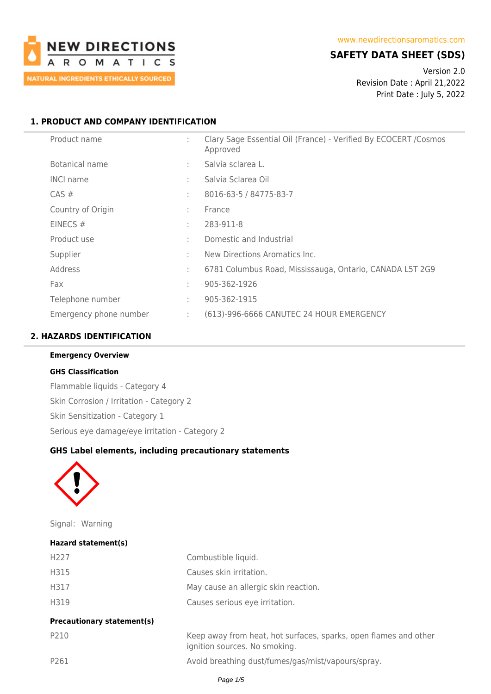

## **SAFETY DATA SHEET (SDS)**

Version 2.0 Revision Date : April 21,2022 Print Date : July 5, 2022

## **1. PRODUCT AND COMPANY IDENTIFICATION**

| Product name           | ÷      | Clary Sage Essential Oil (France) - Verified By ECOCERT / Cosmos<br>Approved |
|------------------------|--------|------------------------------------------------------------------------------|
| Botanical name         | ÷      | Salvia sclarea L.                                                            |
| <b>INCI name</b>       | ÷      | Salvia Sclarea Oil                                                           |
| $CAS \#$               | ÷      | 8016-63-5 / 84775-83-7                                                       |
| Country of Origin      | ÷      | France                                                                       |
| EINECS #               | ÷      | 283-911-8                                                                    |
| Product use            | $\sim$ | Domestic and Industrial                                                      |
| Supplier               | ٠      | New Directions Aromatics Inc.                                                |
| Address                | ÷      | 6781 Columbus Road, Mississauga, Ontario, CANADA L5T 2G9                     |
| Fax                    | ٠      | 905-362-1926                                                                 |
| Telephone number       | ÷      | 905-362-1915                                                                 |
| Emergency phone number | ÷      | (613)-996-6666 CANUTEC 24 HOUR EMERGENCY                                     |

#### **2. HAZARDS IDENTIFICATION**

#### **Emergency Overview**

#### **GHS Classification**

Flammable liquids - Category 4 Skin Corrosion / Irritation - Category 2 Skin Sensitization - Category 1 Serious eye damage/eye irritation - Category 2

# **GHS Label elements, including precautionary statements**



Signal: Warning

| Hazard statement(s)               |                                                                                                   |
|-----------------------------------|---------------------------------------------------------------------------------------------------|
| H <sub>227</sub>                  | Combustible liquid.                                                                               |
| H315                              | Causes skin irritation.                                                                           |
| H317                              | May cause an allergic skin reaction.                                                              |
| H319                              | Causes serious eye irritation.                                                                    |
| <b>Precautionary statement(s)</b> |                                                                                                   |
| P210                              | Keep away from heat, hot surfaces, sparks, open flames and other<br>ignition sources. No smoking. |
| P261                              | Avoid breathing dust/fumes/gas/mist/vapours/spray.                                                |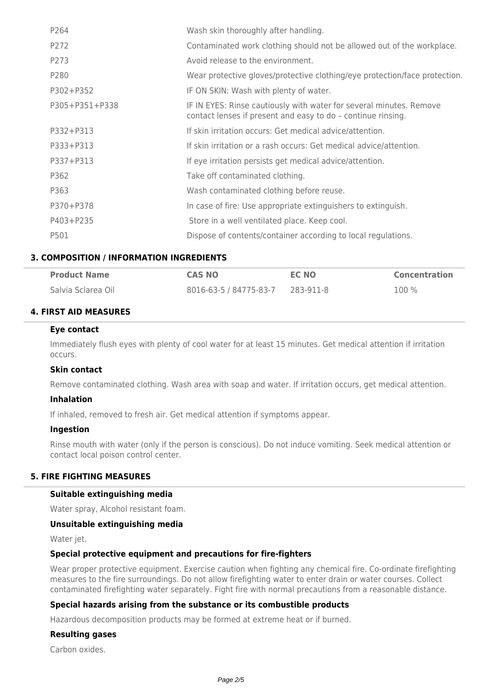| P264           | Wash skin thoroughly after handling.                                                                                                |
|----------------|-------------------------------------------------------------------------------------------------------------------------------------|
| P272           | Contaminated work clothing should not be allowed out of the workplace.                                                              |
| P273           | Avoid release to the environment.                                                                                                   |
| P280           | Wear protective gloves/protective clothing/eye protection/face protection.                                                          |
| P302+P352      | IF ON SKIN: Wash with plenty of water.                                                                                              |
| P305+P351+P338 | IF IN EYES: Rinse cautiously with water for several minutes. Remove<br>contact lenses if present and easy to do - continue rinsing. |
| P332+P313      | If skin irritation occurs: Get medical advice/attention.                                                                            |
| P333+P313      | If skin irritation or a rash occurs: Get medical advice/attention.                                                                  |
| P337+P313      | If eye irritation persists get medical advice/attention.                                                                            |
| P362           | Take off contaminated clothing.                                                                                                     |
| P363           | Wash contaminated clothing before reuse.                                                                                            |
| P370+P378      | In case of fire: Use appropriate extinguishers to extinguish.                                                                       |
| P403+P235      | Store in a well ventilated place. Keep cool.                                                                                        |
| P501           | Dispose of contents/container according to local regulations.                                                                       |

## **3. COMPOSITION / INFORMATION INGREDIENTS**

| <b>Product Name</b> | <b>CAS NO</b>          | EC NO     | <b>Concentration</b> |
|---------------------|------------------------|-----------|----------------------|
| Salvia Sclarea Oil  | 8016-63-5 / 84775-83-7 | 283-911-8 | $100\%$              |

#### **4. FIRST AID MEASURES**

#### **Eye contact**

Immediately flush eyes with plenty of cool water for at least 15 minutes. Get medical attention if irritation occurs.

#### **Skin contact**

Remove contaminated clothing. Wash area with soap and water. If irritation occurs, get medical attention.

#### **Inhalation**

If inhaled, removed to fresh air. Get medical attention if symptoms appear.

#### **Ingestion**

Rinse mouth with water (only if the person is conscious). Do not induce vomiting. Seek medical attention or contact local poison control center.

#### **5. FIRE FIGHTING MEASURES**

#### **Suitable extinguishing media**

Water spray, Alcohol resistant foam.

#### **Unsuitable extinguishing media**

Water jet.

#### **Special protective equipment and precautions for fire-fighters**

Wear proper protective equipment. Exercise caution when fighting any chemical fire. Co-ordinate firefighting measures to the fire surroundings. Do not allow firefighting water to enter drain or water courses. Collect contaminated firefighting water separately. Fight fire with normal precautions from a reasonable distance.

#### **Special hazards arising from the substance or its combustible products**

Hazardous decomposition products may be formed at extreme heat or if burned.

### **Resulting gases**

Carbon oxides.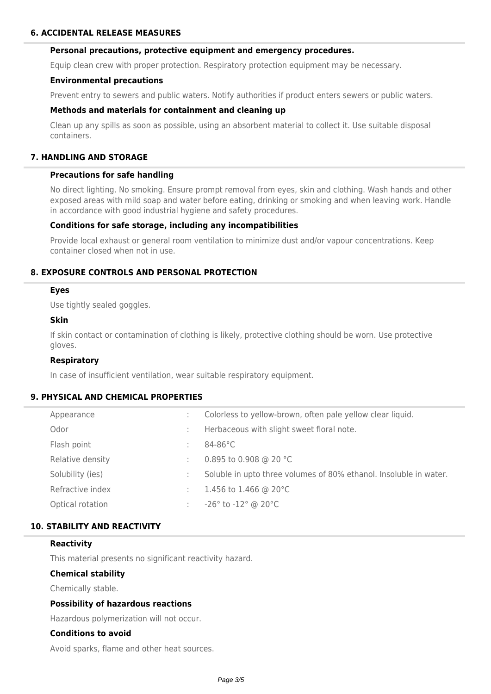#### **Personal precautions, protective equipment and emergency procedures.**

Equip clean crew with proper protection. Respiratory protection equipment may be necessary.

#### **Environmental precautions**

Prevent entry to sewers and public waters. Notify authorities if product enters sewers or public waters.

#### **Methods and materials for containment and cleaning up**

Clean up any spills as soon as possible, using an absorbent material to collect it. Use suitable disposal containers.

## **7. HANDLING AND STORAGE**

#### **Precautions for safe handling**

No direct lighting. No smoking. Ensure prompt removal from eyes, skin and clothing. Wash hands and other exposed areas with mild soap and water before eating, drinking or smoking and when leaving work. Handle in accordance with good industrial hygiene and safety procedures.

#### **Conditions for safe storage, including any incompatibilities**

Provide local exhaust or general room ventilation to minimize dust and/or vapour concentrations. Keep container closed when not in use.

## **8. EXPOSURE CONTROLS AND PERSONAL PROTECTION**

#### **Eyes**

Use tightly sealed goggles.

### **Skin**

If skin contact or contamination of clothing is likely, protective clothing should be worn. Use protective gloves.

#### **Respiratory**

In case of insufficient ventilation, wear suitable respiratory equipment.

### **9. PHYSICAL AND CHEMICAL PROPERTIES**

| Appearance       |   | Colorless to yellow-brown, often pale yellow clear liquid.        |
|------------------|---|-------------------------------------------------------------------|
| Odor             |   | Herbaceous with slight sweet floral note.                         |
| Flash point      |   | $84-86^{\circ}$ C                                                 |
| Relative density |   | 0.895 to 0.908 @ 20 °C                                            |
| Solubility (ies) |   | Soluble in upto three volumes of 80% ethanol. Insoluble in water. |
| Refractive index | ÷ | 1.456 to 1.466 @ 20 $^{\circ}$ C                                  |
| Optical rotation |   | $-26^{\circ}$ to $-12^{\circ}$ @ 20 $^{\circ}$ C                  |

### **10. STABILITY AND REACTIVITY**

#### **Reactivity**

This material presents no significant reactivity hazard.

#### **Chemical stability**

Chemically stable.

#### **Possibility of hazardous reactions**

Hazardous polymerization will not occur.

### **Conditions to avoid**

Avoid sparks, flame and other heat sources.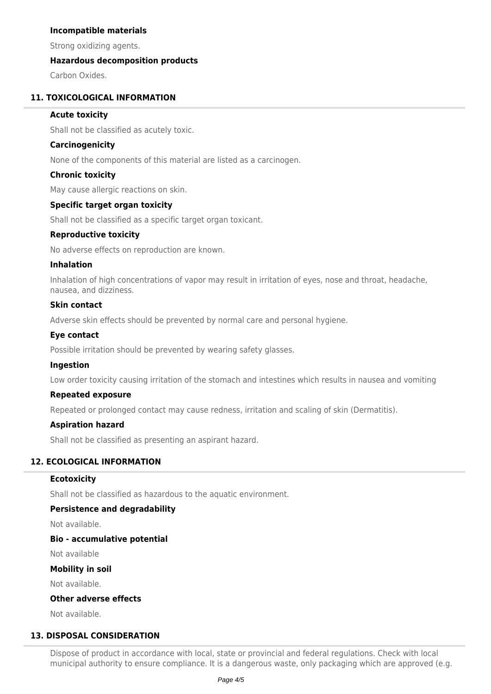## **Incompatible materials**

Strong oxidizing agents.

## **Hazardous decomposition products**

Carbon Oxides.

### **11. TOXICOLOGICAL INFORMATION**

### **Acute toxicity**

Shall not be classified as acutely toxic.

### **Carcinogenicity**

None of the components of this material are listed as a carcinogen.

#### **Chronic toxicity**

May cause allergic reactions on skin.

## **Specific target organ toxicity**

Shall not be classified as a specific target organ toxicant.

## **Reproductive toxicity**

No adverse effects on reproduction are known.

#### **Inhalation**

Inhalation of high concentrations of vapor may result in irritation of eyes, nose and throat, headache, nausea, and dizziness.

## **Skin contact**

Adverse skin effects should be prevented by normal care and personal hygiene.

#### **Eye contact**

Possible irritation should be prevented by wearing safety glasses.

#### **Ingestion**

Low order toxicity causing irritation of the stomach and intestines which results in nausea and vomiting

#### **Repeated exposure**

Repeated or prolonged contact may cause redness, irritation and scaling of skin (Dermatitis).

#### **Aspiration hazard**

Shall not be classified as presenting an aspirant hazard.

## **12. ECOLOGICAL INFORMATION**

#### **Ecotoxicity**

Shall not be classified as hazardous to the aquatic environment.

### **Persistence and degradability**

Not available.

#### **Bio - accumulative potential**

Not available

#### **Mobility in soil**

Not available.

### **Other adverse effects**

Not available.

### **13. DISPOSAL CONSIDERATION**

Dispose of product in accordance with local, state or provincial and federal regulations. Check with local municipal authority to ensure compliance. It is a dangerous waste, only packaging which are approved (e.g.